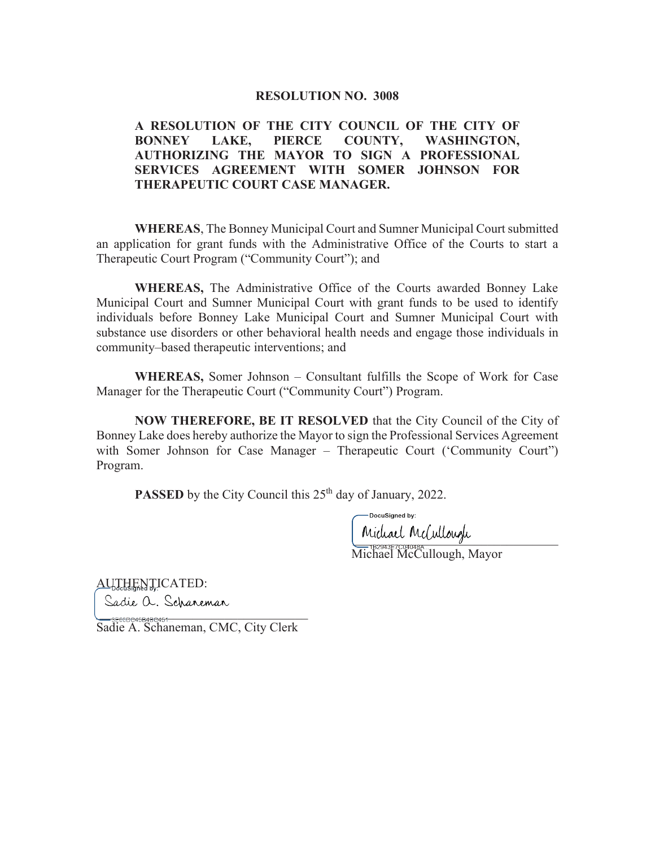## **RESOLUTION NO. 3008**

## **A RESOLUTION OF THE CITY COUNCIL OF THE CITY OF BONNEY LAKE, PIERCE COUNTY, WASHINGTON, AUTHORIZING THE MAYOR TO SIGN A PROFESSIONAL SERVICES AGREEMENT WITH SOMER JOHNSON FOR THERAPEUTIC COURT CASE MANAGER.**

 **WHEREAS**, The Bonney Municipal Court and Sumner Municipal Court submitted an application for grant funds with the Administrative Office of the Courts to start a Therapeutic Court Program ("Community Court"); and

 **WHEREAS,** The Administrative Office of the Courts awarded Bonney Lake Municipal Court and Sumner Municipal Court with grant funds to be used to identify individuals before Bonney Lake Municipal Court and Sumner Municipal Court with substance use disorders or other behavioral health needs and engage those individuals in community–based therapeutic interventions; and

**WHEREAS,** Somer Johnson – Consultant fulfills the Scope of Work for Case Manager for the Therapeutic Court ("Community Court") Program.

 **NOW THEREFORE, BE IT RESOLVED** that the City Council of the City of Bonney Lake does hereby authorize the Mayor to sign the Professional Services Agreement with Somer Johnson for Case Manager – Therapeutic Court ('Community Court'') Program.

**PASSED** by the City Council this 25<sup>th</sup> day of January, 2022.

maal maardiga

Michael McCullough, Mayor

AUTHENTICATED:

Sadie a. Schaneman  $\blacksquare$ 

Sadie A. Schaneman, CMC, City Clerk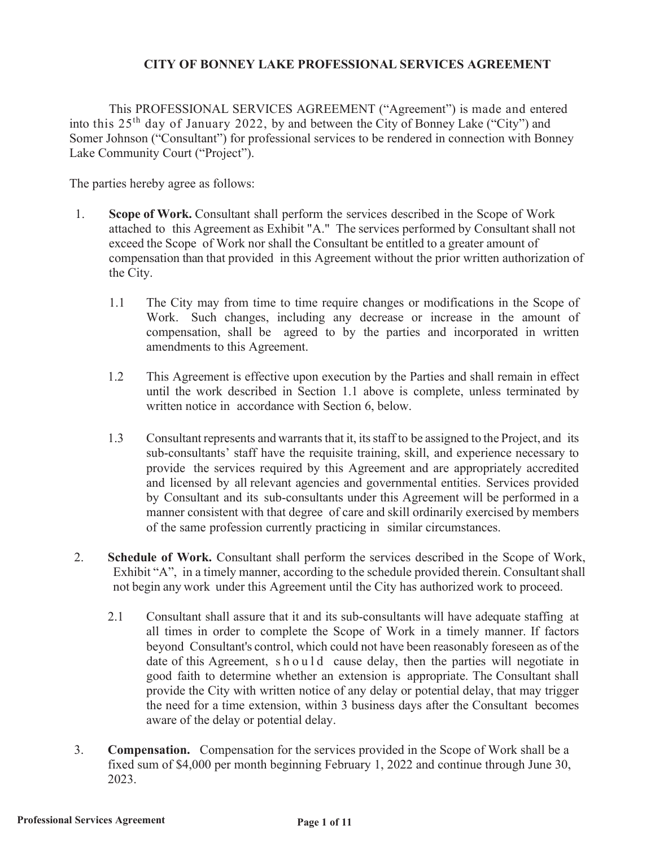## **CITY OF BONNEY LAKE PROFESSIONAL SERVICES AGREEMENT**

This PROFESSIONAL SERVICES AGREEMENT ("Agreement") is made and entered into this 25th day of January 2022, by and between the City of Bonney Lake ("City") and Somer Johnson ("Consultant") for professional services to be rendered in connection with Bonney Lake Community Court ("Project").

The parties hereby agree as follows:

- 1. **Scope of Work.** Consultant shall perform the services described in the Scope of Work attached to this Agreement as Exhibit "A." The services performed by Consultant shall not exceed the Scope of Work nor shall the Consultant be entitled to a greater amount of compensation than that provided in this Agreement without the prior written authorization of the City.
	- 1.1 The City may from time to time require changes or modifications in the Scope of Work. Such changes, including any decrease or increase in the amount of compensation, shall be agreed to by the parties and incorporated in written amendments to this Agreement.
	- 1.2 This Agreement is effective upon execution by the Parties and shall remain in effect until the work described in Section 1.1 above is complete, unless terminated by written notice in accordance with Section 6, below.
	- 1.3 Consultant represents and warrants that it, its staff to be assigned to the Project, and its sub-consultants' staff have the requisite training, skill, and experience necessary to provide the services required by this Agreement and are appropriately accredited and licensed by all relevant agencies and governmental entities. Services provided by Consultant and its sub-consultants under this Agreement will be performed in a manner consistent with that degree of care and skill ordinarily exercised by members of the same profession currently practicing in similar circumstances.
- 2. **Schedule of Work.** Consultant shall perform the services described in the Scope of Work, Exhibit "A", in a timely manner, according to the schedule provided therein. Consultant shall not begin any work under this Agreement until the City has authorized work to proceed.
	- 2.1 Consultant shall assure that it and its sub-consultants will have adequate staffing at all times in order to complete the Scope of Work in a timely manner. If factors beyond Consultant's control, which could not have been reasonably foreseen as of the date of this Agreement, should cause delay, then the parties will negotiate in good faith to determine whether an extension is appropriate. The Consultant shall provide the City with written notice of any delay or potential delay, that may trigger the need for a time extension, within 3 business days after the Consultant becomes aware of the delay or potential delay.
- 3. **Compensation.** Compensation for the services provided in the Scope of Work shall be a fixed sum of \$4,000 per month beginning February 1, 2022 and continue through June 30, 2023.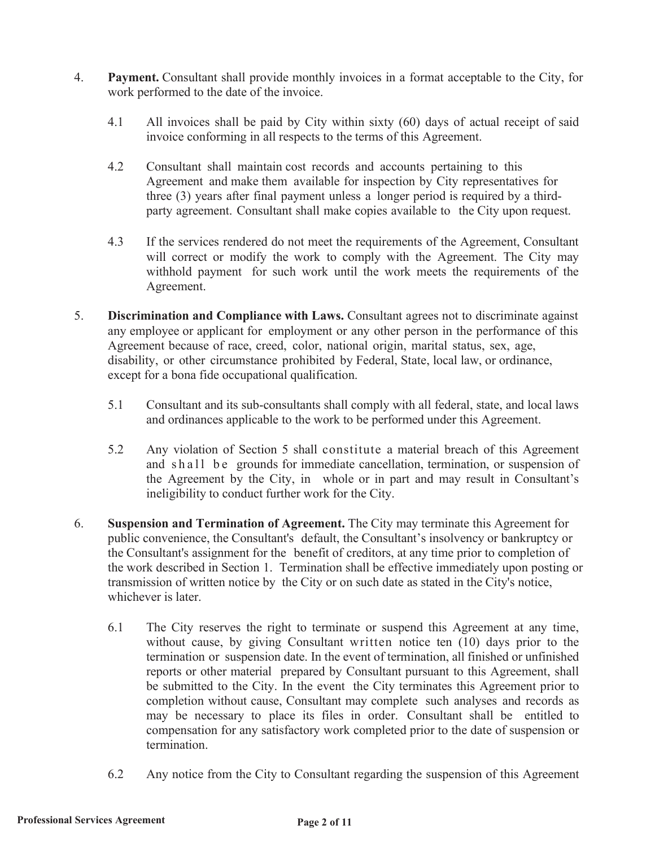- 4. **Payment.** Consultant shall provide monthly invoices in a format acceptable to the City, for work performed to the date of the invoice.
	- 4.1 All invoices shall be paid by City within sixty (60) days of actual receipt of said invoice conforming in all respects to the terms of this Agreement.
	- 4.2 Consultant shall maintain cost records and accounts pertaining to this Agreement and make them available for inspection by City representatives for three (3) years after final payment unless a longer period is required by a thirdparty agreement. Consultant shall make copies available to the City upon request.
	- 4.3 If the services rendered do not meet the requirements of the Agreement, Consultant will correct or modify the work to comply with the Agreement. The City may withhold payment for such work until the work meets the requirements of the Agreement.
- 5. **Discrimination and Compliance with Laws.** Consultant agrees not to discriminate against any employee or applicant for employment or any other person in the performance of this Agreement because of race, creed, color, national origin, marital status, sex, age, disability, or other circumstance prohibited by Federal, State, local law, or ordinance, except for a bona fide occupational qualification.
	- 5.1 Consultant and its sub-consultants shall comply with all federal, state, and local laws and ordinances applicable to the work to be performed under this Agreement.
	- 5.2 Any violation of Section 5 shall constitute a material breach of this Agreement and shall be grounds for immediate cancellation, termination, or suspension of the Agreement by the City, in whole or in part and may result in Consultant's ineligibility to conduct further work for the City.
- 6. **Suspension and Termination of Agreement.** The City may terminate this Agreement for public convenience, the Consultant's default, the Consultant's insolvency or bankruptcy or the Consultant's assignment for the benefit of creditors, at any time prior to completion of the work described in Section 1. Termination shall be effective immediately upon posting or transmission of written notice by the City or on such date as stated in the City's notice, whichever is later.
	- 6.1 The City reserves the right to terminate or suspend this Agreement at any time, without cause, by giving Consultant written notice ten (10) days prior to the termination or suspension date. In the event of termination, all finished or unfinished reports or other material prepared by Consultant pursuant to this Agreement, shall be submitted to the City. In the event the City terminates this Agreement prior to completion without cause, Consultant may complete such analyses and records as may be necessary to place its files in order. Consultant shall be entitled to compensation for any satisfactory work completed prior to the date of suspension or termination.
	- 6.2 Any notice from the City to Consultant regarding the suspension of this Agreement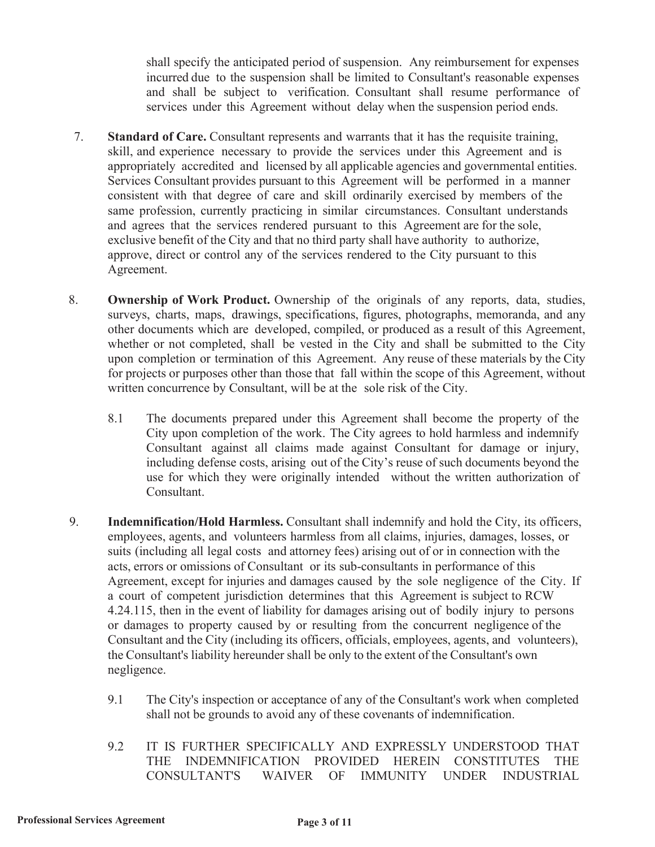shall specify the anticipated period of suspension. Any reimbursement for expenses incurred due to the suspension shall be limited to Consultant's reasonable expenses and shall be subject to verification. Consultant shall resume performance of services under this Agreement without delay when the suspension period ends.

- 7. **Standard of Care.** Consultant represents and warrants that it has the requisite training, skill, and experience necessary to provide the services under this Agreement and is appropriately accredited and licensed by all applicable agencies and governmental entities. Services Consultant provides pursuant to this Agreement will be performed in a manner consistent with that degree of care and skill ordinarily exercised by members of the same profession, currently practicing in similar circumstances. Consultant understands and agrees that the services rendered pursuant to this Agreement are for the sole, exclusive benefit of the City and that no third party shall have authority to authorize, approve, direct or control any of the services rendered to the City pursuant to this Agreement.
- 8. **Ownership of Work Product.** Ownership of the originals of any reports, data, studies, surveys, charts, maps, drawings, specifications, figures, photographs, memoranda, and any other documents which are developed, compiled, or produced as a result of this Agreement, whether or not completed, shall be vested in the City and shall be submitted to the City upon completion or termination of this Agreement. Any reuse of these materials by the City for projects or purposes other than those that fall within the scope of this Agreement, without written concurrence by Consultant, will be at the sole risk of the City.
	- 8.1 The documents prepared under this Agreement shall become the property of the City upon completion of the work. The City agrees to hold harmless and indemnify Consultant against all claims made against Consultant for damage or injury, including defense costs, arising out of the City's reuse of such documents beyond the use for which they were originally intended without the written authorization of Consultant.
- 9. **Indemnification/Hold Harmless.** Consultant shall indemnify and hold the City, its officers, employees, agents, and volunteers harmless from all claims, injuries, damages, losses, or suits (including all legal costs and attorney fees) arising out of or in connection with the acts, errors or omissions of Consultant or its sub-consultants in performance of this Agreement, except for injuries and damages caused by the sole negligence of the City. If a court of competent jurisdiction determines that this Agreement is subject to RCW 4.24.115, then in the event of liability for damages arising out of bodily injury to persons or damages to property caused by or resulting from the concurrent negligence of the Consultant and the City (including its officers, officials, employees, agents, and volunteers), the Consultant's liability hereunder shall be only to the extent of the Consultant's own negligence.
	- 9.1 The City's inspection or acceptance of any of the Consultant's work when completed shall not be grounds to avoid any of these covenants of indemnification.
	- 9.2 IT IS FURTHER SPECIFICALLY AND EXPRESSLY UNDERSTOOD THAT THE INDEMNIFICATION PROVIDED HEREIN CONSTITUTES THE CONSULTANT'S WAIVER OF IMMUNITY UNDER INDUSTRIAL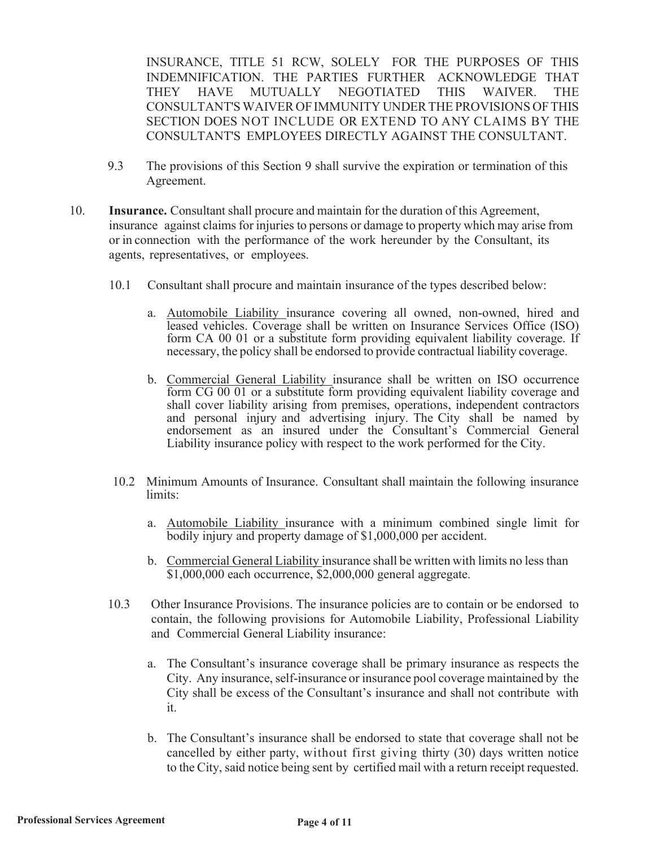INSURANCE, TITLE 51 RCW, SOLELY FOR THE PURPOSES OF THIS INDEMNIFICATION. THE PARTIES FURTHER ACKNOWLEDGE THAT THEY HAVE MUTUALLY NEGOTIATED THIS WAIVER. THE CONSULTANT'S WAIVER OF IMMUNITY UNDER THE PROVISIONS OF THIS SECTION DOES NOT INCLUDE OR EXTEND TO ANY CLAIMS BY THE CONSULTANT'S EMPLOYEES DIRECTLY AGAINST THE CONSULTANT.

- 9.3 The provisions of this Section 9 shall survive the expiration or termination of this Agreement.
- 10. **Insurance.** Consultant shall procure and maintain for the duration of this Agreement, insurance against claims for injuries to persons or damage to property which may arise from or in connection with the performance of the work hereunder by the Consultant, its agents, representatives, or employees.
	- 10.1 Consultant shall procure and maintain insurance of the types described below:
		- a. Automobile Liability insurance covering all owned, non-owned, hired and leased vehicles. Coverage shall be written on Insurance Services Office (ISO) form CA 00 01 or a substitute form providing equivalent liability coverage. If necessary, the policy shall be endorsed to provide contractual liability coverage.
		- b. Commercial General Liability insurance shall be written on ISO occurrence form CG 00 01 or a substitute form providing equivalent liability coverage and shall cover liability arising from premises, operations, independent contractors and personal injury and advertising injury. The City shall be named by endorsement as an insured under the Consultant's Commercial General Liability insurance policy with respect to the work performed for the City.
	- 10.2 Minimum Amounts of Insurance. Consultant shall maintain the following insurance limits:
		- a. Automobile Liability insurance with a minimum combined single limit for bodily injury and property damage of \$1,000,000 per accident.
		- b. Commercial General Liability insurance shall be written with limits no less than \$1,000,000 each occurrence, \$2,000,000 general aggregate.
	- 10.3 Other Insurance Provisions. The insurance policies are to contain or be endorsed to contain, the following provisions for Automobile Liability, Professional Liability and Commercial General Liability insurance:
		- a. The Consultant's insurance coverage shall be primary insurance as respects the City. Any insurance, self-insurance or insurance pool coverage maintained by the City shall be excess of the Consultant's insurance and shall not contribute with it.
		- b. The Consultant's insurance shall be endorsed to state that coverage shall not be cancelled by either party, without first giving thirty (30) days written notice to the City, said notice being sent by certified mail with a return receipt requested.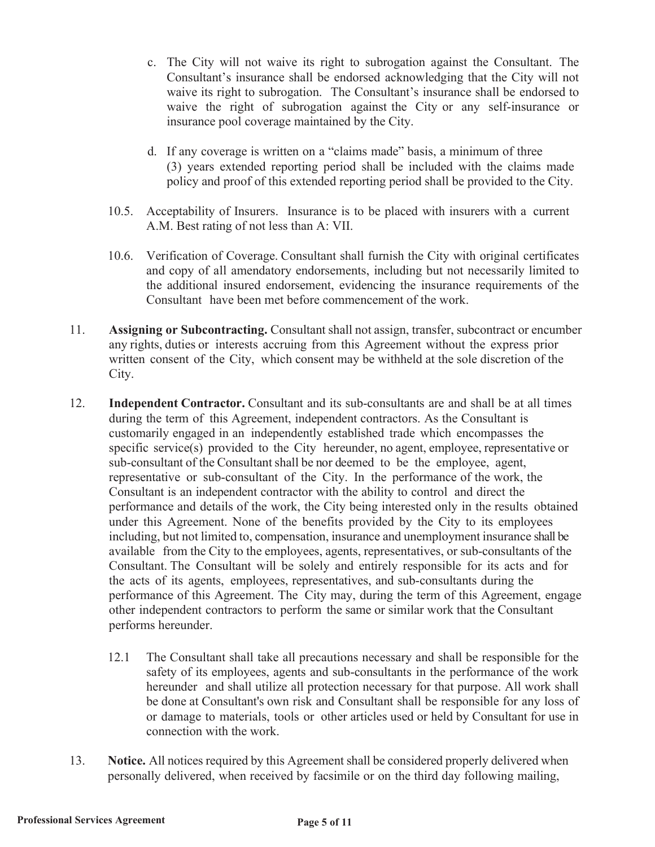- c. The City will not waive its right to subrogation against the Consultant. The Consultant's insurance shall be endorsed acknowledging that the City will not waive its right to subrogation. The Consultant's insurance shall be endorsed to waive the right of subrogation against the City or any self-insurance or insurance pool coverage maintained by the City.
- d. If any coverage is written on a "claims made" basis, a minimum of three (3) years extended reporting period shall be included with the claims made policy and proof of this extended reporting period shall be provided to the City.
- 10.5. Acceptability of Insurers. Insurance is to be placed with insurers with a current A.M. Best rating of not less than A: VII.
- 10.6. Verification of Coverage. Consultant shall furnish the City with original certificates and copy of all amendatory endorsements, including but not necessarily limited to the additional insured endorsement, evidencing the insurance requirements of the Consultant have been met before commencement of the work.
- 11. **Assigning or Subcontracting.** Consultant shall not assign, transfer, subcontract or encumber any rights, duties or interests accruing from this Agreement without the express prior written consent of the City, which consent may be withheld at the sole discretion of the City.
- 12. **Independent Contractor.** Consultant and its sub-consultants are and shall be at all times during the term of this Agreement, independent contractors. As the Consultant is customarily engaged in an independently established trade which encompasses the specific service(s) provided to the City hereunder, no agent, employee, representative or sub-consultant of the Consultant shall be nor deemed to be the employee, agent, representative or sub-consultant of the City. In the performance of the work, the Consultant is an independent contractor with the ability to control and direct the performance and details of the work, the City being interested only in the results obtained under this Agreement. None of the benefits provided by the City to its employees including, but not limited to, compensation, insurance and unemployment insurance shall be available from the City to the employees, agents, representatives, or sub-consultants of the Consultant. The Consultant will be solely and entirely responsible for its acts and for the acts of its agents, employees, representatives, and sub-consultants during the performance of this Agreement. The City may, during the term of this Agreement, engage other independent contractors to perform the same or similar work that the Consultant performs hereunder.
	- 12.1 The Consultant shall take all precautions necessary and shall be responsible for the safety of its employees, agents and sub-consultants in the performance of the work hereunder and shall utilize all protection necessary for that purpose. All work shall be done at Consultant's own risk and Consultant shall be responsible for any loss of or damage to materials, tools or other articles used or held by Consultant for use in connection with the work.
- 13. **Notice.** All notices required by this Agreement shall be considered properly delivered when personally delivered, when received by facsimile or on the third day following mailing,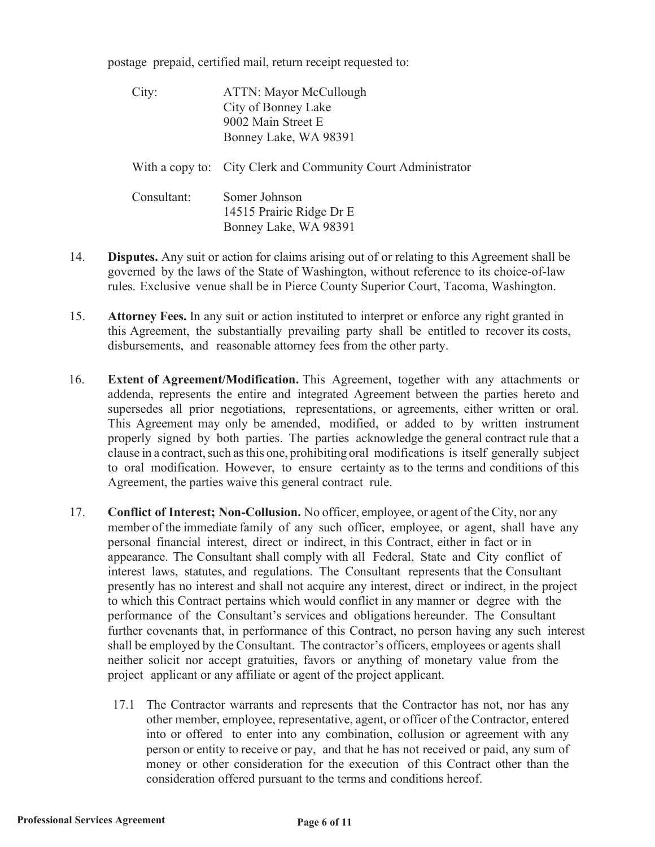postage prepaid, certified mail, return receipt requested to:

| City:       | <b>ATTN: Mayor McCullough</b><br>City of Bonney Lake<br>9002 Main Street E<br>Bonney Lake, WA 98391 |
|-------------|-----------------------------------------------------------------------------------------------------|
|             | With a copy to: City Clerk and Community Court Administrator                                        |
| Consultant: | Somer Johnson<br>14515 Prairie Ridge Dr E<br>Bonney Lake, WA 98391                                  |

- 14. **Disputes.** Any suit or action for claims arising out of or relating to this Agreement shall be governed by the laws of the State of Washington, without reference to its choice-of-law rules. Exclusive venue shall be in Pierce County Superior Court, Tacoma, Washington.
- 15. **Attorney Fees.** In any suit or action instituted to interpret or enforce any right granted in this Agreement, the substantially prevailing party shall be entitled to recover its costs, disbursements, and reasonable attorney fees from the other party.
- 16. **Extent of Agreement/Modification.** This Agreement, together with any attachments or addenda, represents the entire and integrated Agreement between the parties hereto and supersedes all prior negotiations, representations, or agreements, either written or oral. This Agreement may only be amended, modified, or added to by written instrument properly signed by both parties. The parties acknowledge the general contract rule that a clause in a contract, such as this one, prohibiting oral modifications is itself generally subject to oral modification. However, to ensure certainty as to the terms and conditions of this Agreement, the parties waive this general contract rule.
- 17. **Conflict of Interest; Non-Collusion.** No officer, employee, or agent of the City, nor any member of the immediate family of any such officer, employee, or agent, shall have any personal financial interest, direct or indirect, in this Contract, either in fact or in appearance. The Consultant shall comply with all Federal, State and City conflict of interest laws, statutes, and regulations. The Consultant represents that the Consultant presently has no interest and shall not acquire any interest, direct or indirect, in the project to which this Contract pertains which would conflict in any manner or degree with the performance of the Consultant's services and obligations hereunder. The Consultant further covenants that, in performance of this Contract, no person having any such interest shall be employed by the Consultant. The contractor's officers, employees or agents shall neither solicit nor accept gratuities, favors or anything of monetary value from the project applicant or any affiliate or agent of the project applicant.
	- 17.1 The Contractor warrants and represents that the Contractor has not, nor has any other member, employee, representative, agent, or officer of the Contractor, entered into or offered to enter into any combination, collusion or agreement with any person or entity to receive or pay, and that he has not received or paid, any sum of money or other consideration for the execution of this Contract other than the consideration offered pursuant to the terms and conditions hereof.